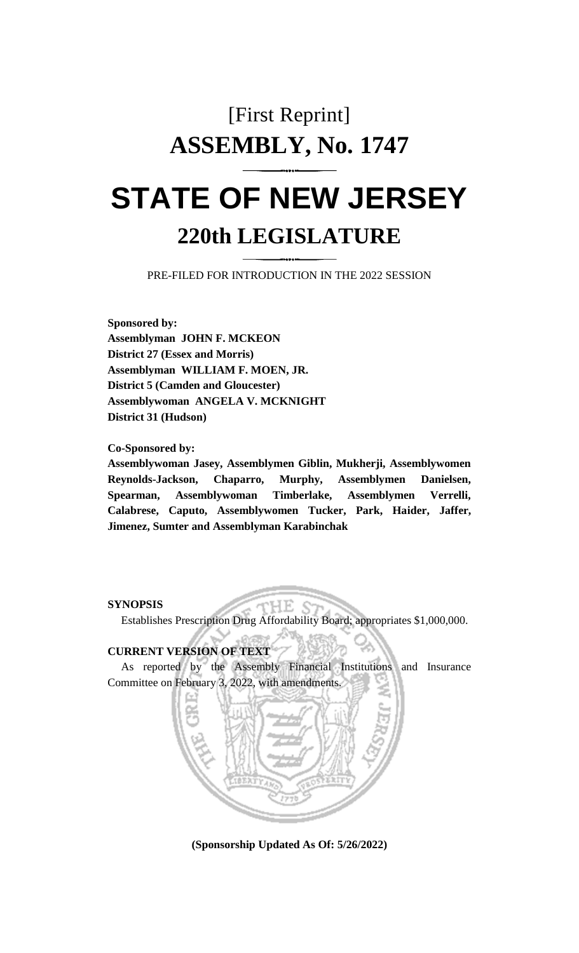# [First Reprint] **ASSEMBLY, No. 1747 STATE OF NEW JERSEY**

## **220th LEGISLATURE**

PRE-FILED FOR INTRODUCTION IN THE 2022 SESSION

**Sponsored by: Assemblyman JOHN F. MCKEON District 27 (Essex and Morris) Assemblyman WILLIAM F. MOEN, JR. District 5 (Camden and Gloucester) Assemblywoman ANGELA V. MCKNIGHT District 31 (Hudson)**

**Co-Sponsored by:**

**Assemblywoman Jasey, Assemblymen Giblin, Mukherji, Assemblywomen Reynolds-Jackson, Chaparro, Murphy, Assemblymen Danielsen, Spearman, Assemblywoman Timberlake, Assemblymen Verrelli, Calabrese, Caputo, Assemblywomen Tucker, Park, Haider, Jaffer, Jimenez, Sumter and Assemblyman Karabinchak**

**SYNOPSIS**

Establishes Prescription Drug Affordability Board; appropriates \$1,000,000.

H.B.

### **CURRENT VERSION OF TEXT**

As reported by the Assembly Financial Institutions and Insurance Committee on February 3, 2022, with amendments.



**(Sponsorship Updated As Of: 5/26/2022)**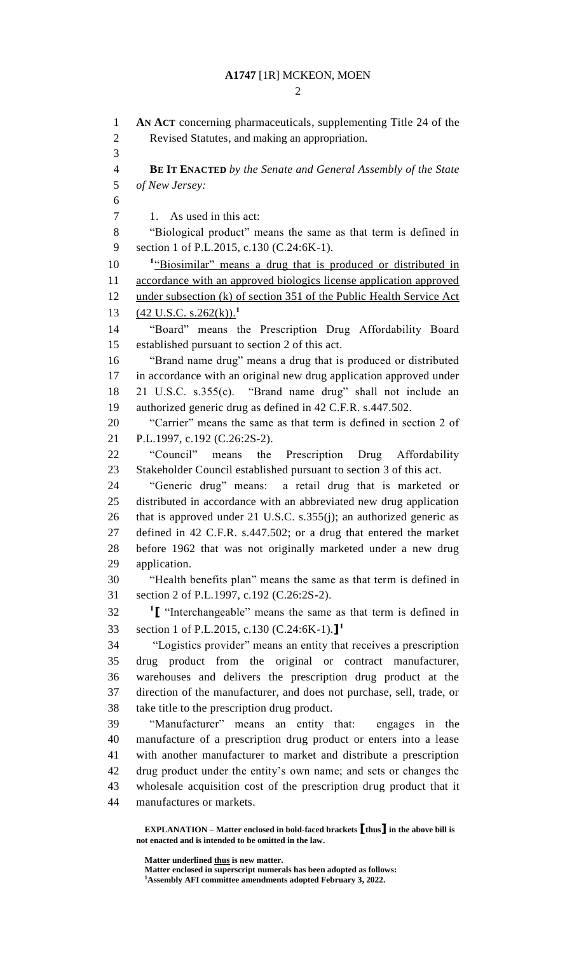$\mathcal{D}$ 

 **AN ACT** concerning pharmaceuticals, supplementing Title 24 of the Revised Statutes, and making an appropriation. **BE IT ENACTED** *by the Senate and General Assembly of the State of New Jersey:* 7 1. As used in this act: "Biological product" means the same as that term is defined in section 1 of P.L.2015, c.130 (C.24:6K-1). 10 <sup>1</sup> <u>Biosimilar</u>" means a drug that is produced or distributed in accordance with an approved biologics license application approved 12 under subsection (k) of section 351 of the Public Health Service Act (42 U.S.C. s.262(k)).**<sup>1</sup>** "Board" means the Prescription Drug Affordability Board established pursuant to section 2 of this act. "Brand name drug" means a drug that is produced or distributed in accordance with an original new drug application approved under 21 U.S.C. s.355(c). "Brand name drug" shall not include an authorized generic drug as defined in 42 C.F.R. s.447.502. "Carrier" means the same as that term is defined in section 2 of P.L.1997, c.192 (C.26:2S-2). "Council" means the Prescription Drug Affordability Stakeholder Council established pursuant to section 3 of this act. "Generic drug" means: a retail drug that is marketed or distributed in accordance with an abbreviated new drug application that is approved under 21 U.S.C. s.355(j); an authorized generic as defined in 42 C.F.R. s.447.502; or a drug that entered the market before 1962 that was not originally marketed under a new drug application. "Health benefits plan" means the same as that term is defined in section 2 of P.L.1997, c.192 (C.26:2S-2). **[** "Interchangeable" means the same as that term is defined in section 1 of P.L.2015, c.130 (C.24:6K-1).**] 1** "Logistics provider" means an entity that receives a prescription drug product from the original or contract manufacturer, warehouses and delivers the prescription drug product at the direction of the manufacturer, and does not purchase, sell, trade, or take title to the prescription drug product. "Manufacturer" means an entity that: engages in the manufacture of a prescription drug product or enters into a lease with another manufacturer to market and distribute a prescription drug product under the entity's own name; and sets or changes the wholesale acquisition cost of the prescription drug product that it manufactures or markets.

**EXPLANATION – Matter enclosed in bold-faced brackets [thus] in the above bill is not enacted and is intended to be omitted in the law.**

**Matter underlined thus is new matter.**

**Matter enclosed in superscript numerals has been adopted as follows:**

**Assembly AFI committee amendments adopted February 3, 2022.**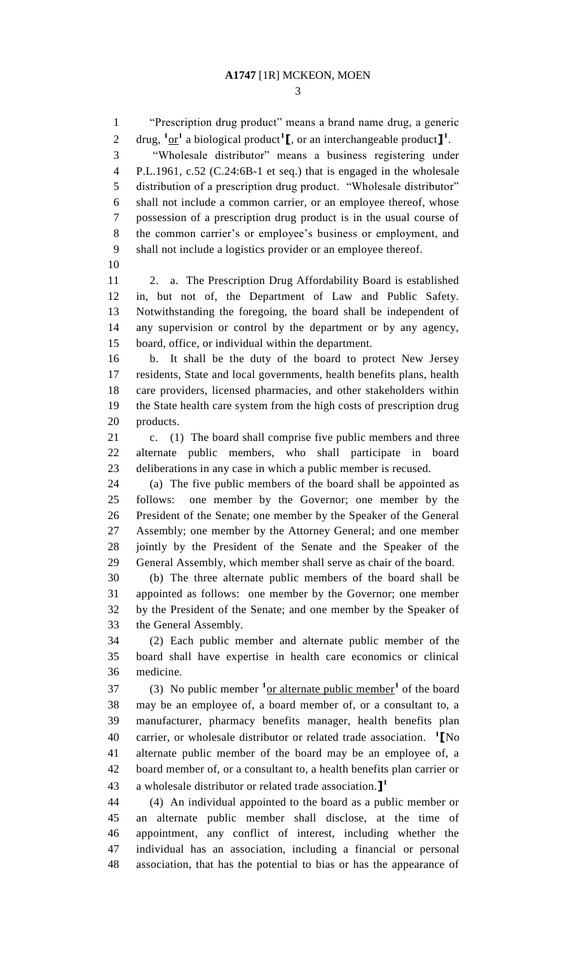"Prescription drug product" means a brand name drug, a generic 2 drug,  $\frac{1}{2}$  or an interchangeable product  $\mathbf{I}^1$ . "Wholesale distributor" means a business registering under P.L.1961, c.52 (C.24:6B-1 et seq.) that is engaged in the wholesale distribution of a prescription drug product. "Wholesale distributor" shall not include a common carrier, or an employee thereof, whose possession of a prescription drug product is in the usual course of the common carrier's or employee's business or employment, and shall not include a logistics provider or an employee thereof. 2. a. The Prescription Drug Affordability Board is established in, but not of, the Department of Law and Public Safety. Notwithstanding the foregoing, the board shall be independent of any supervision or control by the department or by any agency, board, office, or individual within the department. b. It shall be the duty of the board to protect New Jersey residents, State and local governments, health benefits plans, health care providers, licensed pharmacies, and other stakeholders within the State health care system from the high costs of prescription drug products. c. (1) The board shall comprise five public members and three alternate public members, who shall participate in board deliberations in any case in which a public member is recused. (a) The five public members of the board shall be appointed as follows: one member by the Governor; one member by the President of the Senate; one member by the Speaker of the General Assembly; one member by the Attorney General; and one member jointly by the President of the Senate and the Speaker of the General Assembly, which member shall serve as chair of the board. (b) The three alternate public members of the board shall be appointed as follows: one member by the Governor; one member by the President of the Senate; and one member by the Speaker of the General Assembly. (2) Each public member and alternate public member of the board shall have expertise in health care economics or clinical medicine. (3) No public member **<sup>1</sup>** or alternate public member**<sup>1</sup>** of the board may be an employee of, a board member of, or a consultant to, a manufacturer, pharmacy benefits manager, health benefits plan carrier, or wholesale distributor or related trade association. **<sup>1</sup> [**No alternate public member of the board may be an employee of, a board member of, or a consultant to, a health benefits plan carrier or a wholesale distributor or related trade association.**] 1** (4) An individual appointed to the board as a public member or an alternate public member shall disclose, at the time of appointment, any conflict of interest, including whether the individual has an association, including a financial or personal association, that has the potential to bias or has the appearance of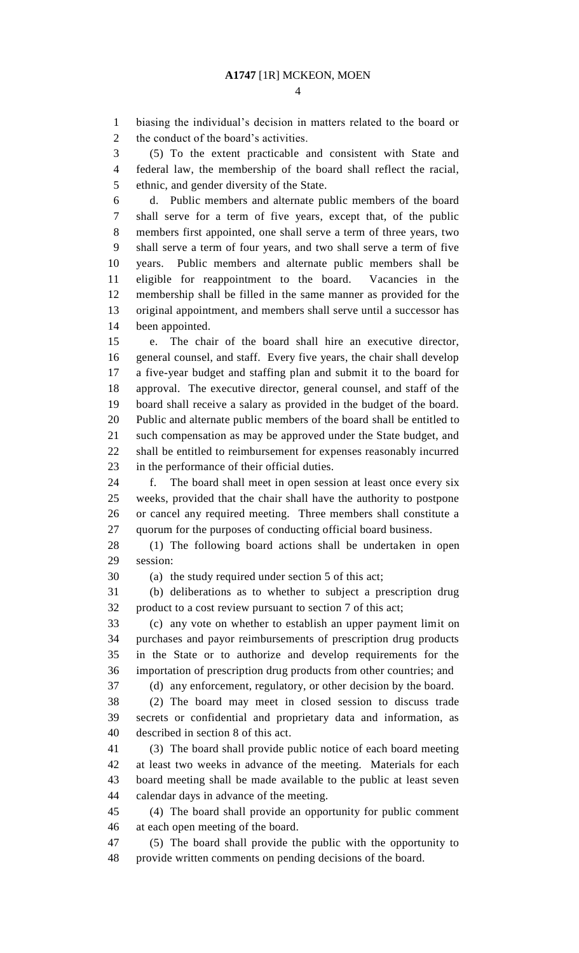biasing the individual's decision in matters related to the board or

the conduct of the board's activities.

 (5) To the extent practicable and consistent with State and federal law, the membership of the board shall reflect the racial, ethnic, and gender diversity of the State. d. Public members and alternate public members of the board shall serve for a term of five years, except that, of the public members first appointed, one shall serve a term of three years, two shall serve a term of four years, and two shall serve a term of five years. Public members and alternate public members shall be eligible for reappointment to the board. Vacancies in the membership shall be filled in the same manner as provided for the original appointment, and members shall serve until a successor has been appointed. e. The chair of the board shall hire an executive director, general counsel, and staff. Every five years, the chair shall develop a five-year budget and staffing plan and submit it to the board for approval. The executive director, general counsel, and staff of the

 board shall receive a salary as provided in the budget of the board. Public and alternate public members of the board shall be entitled to such compensation as may be approved under the State budget, and shall be entitled to reimbursement for expenses reasonably incurred in the performance of their official duties.

 f. The board shall meet in open session at least once every six weeks, provided that the chair shall have the authority to postpone or cancel any required meeting. Three members shall constitute a quorum for the purposes of conducting official board business.

 (1) The following board actions shall be undertaken in open session:

(a) the study required under section 5 of this act;

 (b) deliberations as to whether to subject a prescription drug product to a cost review pursuant to section 7 of this act;

 (c) any vote on whether to establish an upper payment limit on purchases and payor reimbursements of prescription drug products in the State or to authorize and develop requirements for the importation of prescription drug products from other countries; and

(d) any enforcement, regulatory, or other decision by the board.

 (2) The board may meet in closed session to discuss trade secrets or confidential and proprietary data and information, as described in section 8 of this act.

 (3) The board shall provide public notice of each board meeting at least two weeks in advance of the meeting. Materials for each board meeting shall be made available to the public at least seven calendar days in advance of the meeting.

 (4) The board shall provide an opportunity for public comment at each open meeting of the board.

 (5) The board shall provide the public with the opportunity to provide written comments on pending decisions of the board.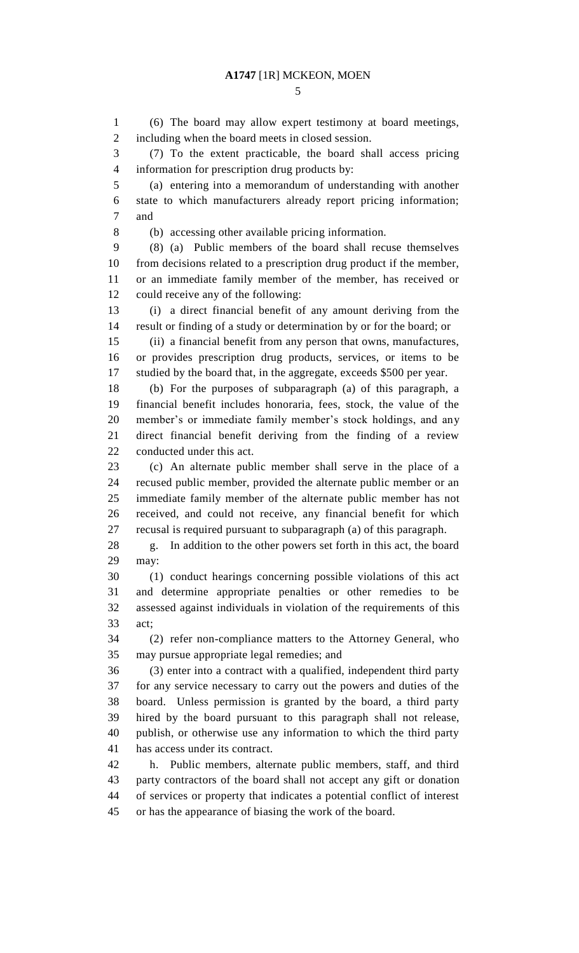(6) The board may allow expert testimony at board meetings, including when the board meets in closed session.

 (7) To the extent practicable, the board shall access pricing information for prescription drug products by:

 (a) entering into a memorandum of understanding with another state to which manufacturers already report pricing information; and

(b) accessing other available pricing information.

 (8) (a) Public members of the board shall recuse themselves from decisions related to a prescription drug product if the member, or an immediate family member of the member, has received or could receive any of the following:

 (i) a direct financial benefit of any amount deriving from the result or finding of a study or determination by or for the board; or

 (ii) a financial benefit from any person that owns, manufactures, or provides prescription drug products, services, or items to be studied by the board that, in the aggregate, exceeds \$500 per year.

 (b) For the purposes of subparagraph (a) of this paragraph, a financial benefit includes honoraria, fees, stock, the value of the member's or immediate family member's stock holdings, and any direct financial benefit deriving from the finding of a review conducted under this act.

 (c) An alternate public member shall serve in the place of a recused public member, provided the alternate public member or an immediate family member of the alternate public member has not received, and could not receive, any financial benefit for which recusal is required pursuant to subparagraph (a) of this paragraph.

 g. In addition to the other powers set forth in this act, the board may:

 (1) conduct hearings concerning possible violations of this act and determine appropriate penalties or other remedies to be assessed against individuals in violation of the requirements of this act;

 (2) refer non-compliance matters to the Attorney General, who may pursue appropriate legal remedies; and

 (3) enter into a contract with a qualified, independent third party for any service necessary to carry out the powers and duties of the board. Unless permission is granted by the board, a third party hired by the board pursuant to this paragraph shall not release, publish, or otherwise use any information to which the third party has access under its contract.

 h. Public members, alternate public members, staff, and third party contractors of the board shall not accept any gift or donation of services or property that indicates a potential conflict of interest or has the appearance of biasing the work of the board.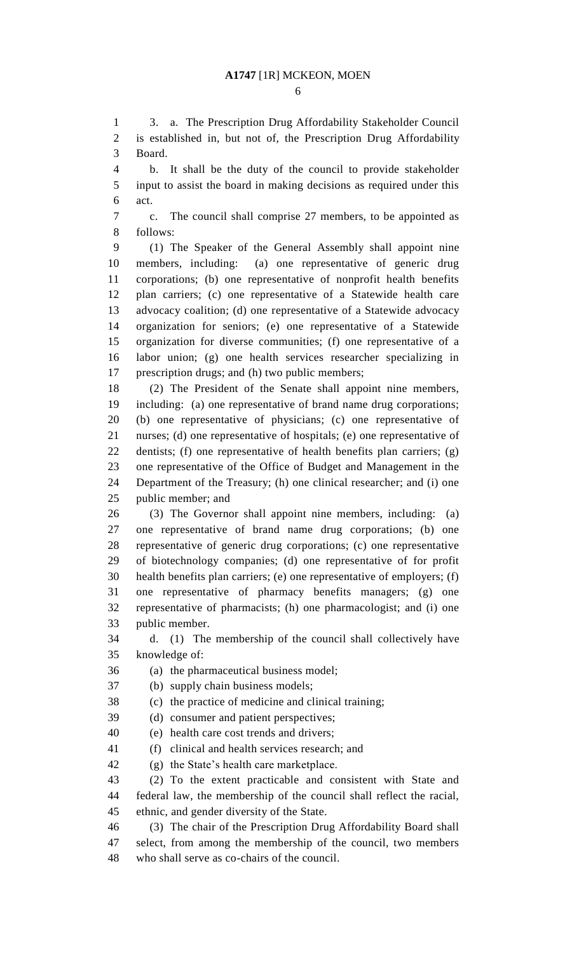3. a. The Prescription Drug Affordability Stakeholder Council is established in, but not of, the Prescription Drug Affordability Board.

 b. It shall be the duty of the council to provide stakeholder input to assist the board in making decisions as required under this act.

 c. The council shall comprise 27 members, to be appointed as follows:

 (1) The Speaker of the General Assembly shall appoint nine members, including: (a) one representative of generic drug corporations; (b) one representative of nonprofit health benefits plan carriers; (c) one representative of a Statewide health care advocacy coalition; (d) one representative of a Statewide advocacy organization for seniors; (e) one representative of a Statewide organization for diverse communities; (f) one representative of a labor union; (g) one health services researcher specializing in prescription drugs; and (h) two public members;

 (2) The President of the Senate shall appoint nine members, including: (a) one representative of brand name drug corporations; (b) one representative of physicians; (c) one representative of nurses; (d) one representative of hospitals; (e) one representative of dentists; (f) one representative of health benefits plan carriers; (g) one representative of the Office of Budget and Management in the Department of the Treasury; (h) one clinical researcher; and (i) one public member; and

 (3) The Governor shall appoint nine members, including: (a) one representative of brand name drug corporations; (b) one representative of generic drug corporations; (c) one representative of biotechnology companies; (d) one representative of for profit health benefits plan carriers; (e) one representative of employers; (f) one representative of pharmacy benefits managers; (g) one representative of pharmacists; (h) one pharmacologist; and (i) one public member.

 d. (1) The membership of the council shall collectively have knowledge of:

(a) the pharmaceutical business model;

(b) supply chain business models;

(c) the practice of medicine and clinical training;

(d) consumer and patient perspectives;

(e) health care cost trends and drivers;

(f) clinical and health services research; and

(g) the State's health care marketplace.

 (2) To the extent practicable and consistent with State and federal law, the membership of the council shall reflect the racial, ethnic, and gender diversity of the State.

 (3) The chair of the Prescription Drug Affordability Board shall select, from among the membership of the council, two members who shall serve as co-chairs of the council.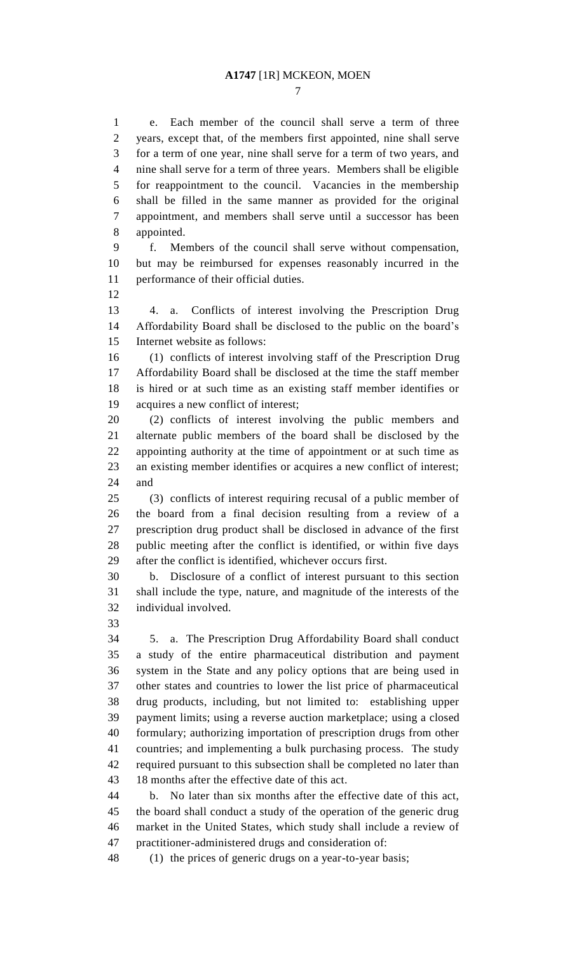e. Each member of the council shall serve a term of three years, except that, of the members first appointed, nine shall serve for a term of one year, nine shall serve for a term of two years, and nine shall serve for a term of three years. Members shall be eligible for reappointment to the council. Vacancies in the membership shall be filled in the same manner as provided for the original appointment, and members shall serve until a successor has been appointed.

 f. Members of the council shall serve without compensation, but may be reimbursed for expenses reasonably incurred in the performance of their official duties.

 4. a. Conflicts of interest involving the Prescription Drug Affordability Board shall be disclosed to the public on the board's Internet website as follows:

 (1) conflicts of interest involving staff of the Prescription Drug Affordability Board shall be disclosed at the time the staff member is hired or at such time as an existing staff member identifies or acquires a new conflict of interest;

 (2) conflicts of interest involving the public members and alternate public members of the board shall be disclosed by the appointing authority at the time of appointment or at such time as an existing member identifies or acquires a new conflict of interest; and

 (3) conflicts of interest requiring recusal of a public member of the board from a final decision resulting from a review of a prescription drug product shall be disclosed in advance of the first public meeting after the conflict is identified, or within five days after the conflict is identified, whichever occurs first.

 b. Disclosure of a conflict of interest pursuant to this section shall include the type, nature, and magnitude of the interests of the individual involved.

 5. a. The Prescription Drug Affordability Board shall conduct a study of the entire pharmaceutical distribution and payment system in the State and any policy options that are being used in other states and countries to lower the list price of pharmaceutical drug products, including, but not limited to: establishing upper payment limits; using a reverse auction marketplace; using a closed formulary; authorizing importation of prescription drugs from other countries; and implementing a bulk purchasing process. The study required pursuant to this subsection shall be completed no later than 18 months after the effective date of this act.

 b. No later than six months after the effective date of this act, the board shall conduct a study of the operation of the generic drug market in the United States, which study shall include a review of practitioner-administered drugs and consideration of:

(1) the prices of generic drugs on a year-to-year basis;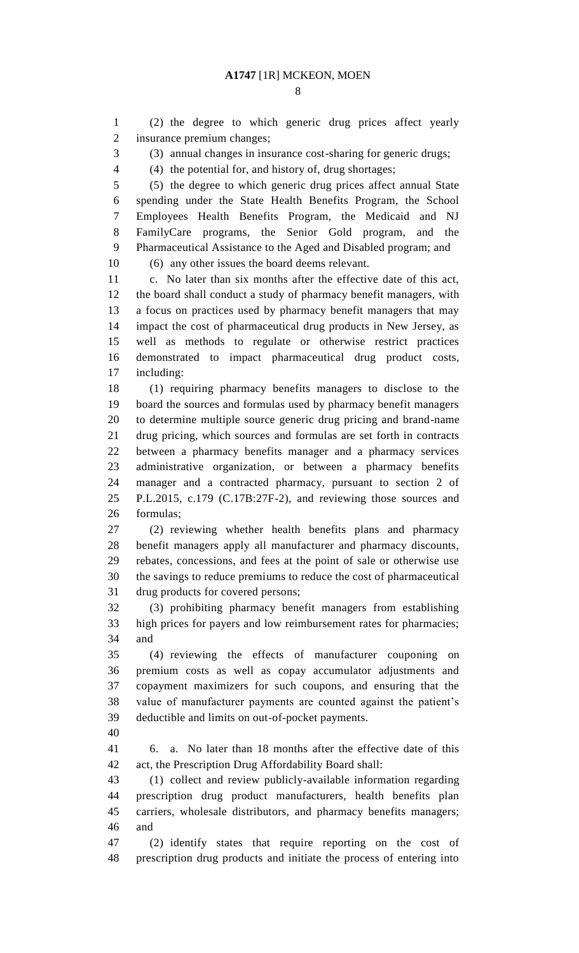(2) the degree to which generic drug prices affect yearly insurance premium changes;

(3) annual changes in insurance cost-sharing for generic drugs;

(4) the potential for, and history of, drug shortages;

 (5) the degree to which generic drug prices affect annual State spending under the State Health Benefits Program, the School Employees Health Benefits Program, the Medicaid and NJ FamilyCare programs, the Senior Gold program, and the Pharmaceutical Assistance to the Aged and Disabled program; and (6) any other issues the board deems relevant.

 c. No later than six months after the effective date of this act, the board shall conduct a study of pharmacy benefit managers, with a focus on practices used by pharmacy benefit managers that may impact the cost of pharmaceutical drug products in New Jersey, as well as methods to regulate or otherwise restrict practices

 demonstrated to impact pharmaceutical drug product costs, including:

 (1) requiring pharmacy benefits managers to disclose to the board the sources and formulas used by pharmacy benefit managers to determine multiple source generic drug pricing and brand-name drug pricing, which sources and formulas are set forth in contracts between a pharmacy benefits manager and a pharmacy services administrative organization, or between a pharmacy benefits manager and a contracted pharmacy, pursuant to section 2 of P.L.2015, c.179 (C.17B:27F-2), and reviewing those sources and formulas;

 (2) reviewing whether health benefits plans and pharmacy benefit managers apply all manufacturer and pharmacy discounts, rebates, concessions, and fees at the point of sale or otherwise use the savings to reduce premiums to reduce the cost of pharmaceutical drug products for covered persons;

 (3) prohibiting pharmacy benefit managers from establishing high prices for payers and low reimbursement rates for pharmacies; and

 (4) reviewing the effects of manufacturer couponing on premium costs as well as copay accumulator adjustments and copayment maximizers for such coupons, and ensuring that the value of manufacturer payments are counted against the patient's deductible and limits on out-of-pocket payments.

 6. a. No later than 18 months after the effective date of this act, the Prescription Drug Affordability Board shall:

 (1) collect and review publicly-available information regarding prescription drug product manufacturers, health benefits plan carriers, wholesale distributors, and pharmacy benefits managers; and

 (2) identify states that require reporting on the cost of prescription drug products and initiate the process of entering into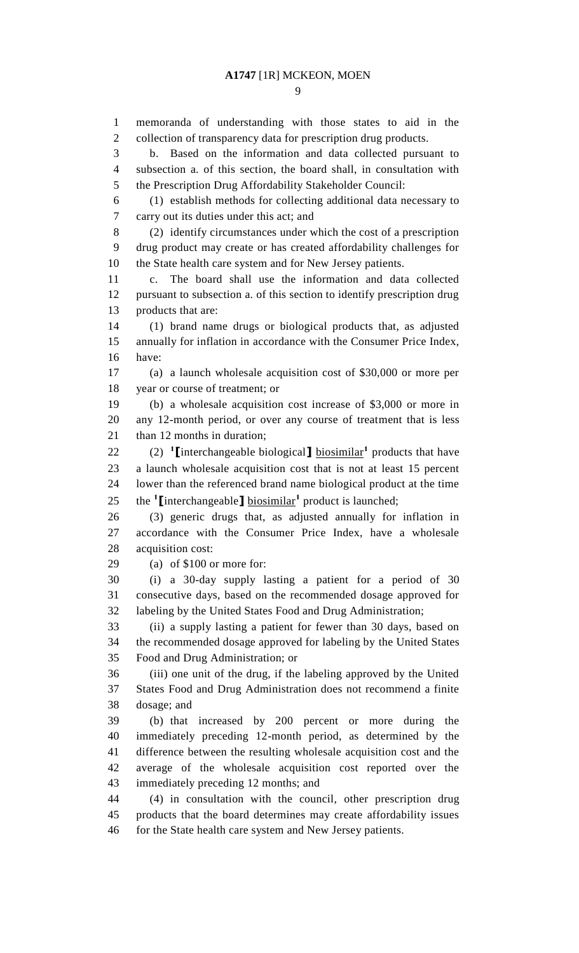memoranda of understanding with those states to aid in the collection of transparency data for prescription drug products. b. Based on the information and data collected pursuant to subsection a. of this section, the board shall, in consultation with the Prescription Drug Affordability Stakeholder Council: (1) establish methods for collecting additional data necessary to carry out its duties under this act; and (2) identify circumstances under which the cost of a prescription drug product may create or has created affordability challenges for the State health care system and for New Jersey patients. c. The board shall use the information and data collected pursuant to subsection a. of this section to identify prescription drug products that are: (1) brand name drugs or biological products that, as adjusted annually for inflation in accordance with the Consumer Price Index, have: (a) a launch wholesale acquisition cost of \$30,000 or more per year or course of treatment; or (b) a wholesale acquisition cost increase of \$3,000 or more in any 12-month period, or over any course of treatment that is less 21 than 12 months in duration; 22 (2) <sup>1</sup> [interchangeable biological]  $\frac{1}{2}$  biosimilar<sup>1</sup> products that have a launch wholesale acquisition cost that is not at least 15 percent lower than the referenced brand name biological product at the time 25 the <sup>1</sup>I interchangeable **J** biosimilar<sup>1</sup> product is launched; (3) generic drugs that, as adjusted annually for inflation in accordance with the Consumer Price Index, have a wholesale acquisition cost: (a) of \$100 or more for: (i) a 30-day supply lasting a patient for a period of 30 consecutive days, based on the recommended dosage approved for labeling by the United States Food and Drug Administration; (ii) a supply lasting a patient for fewer than 30 days, based on the recommended dosage approved for labeling by the United States Food and Drug Administration; or (iii) one unit of the drug, if the labeling approved by the United States Food and Drug Administration does not recommend a finite dosage; and (b) that increased by 200 percent or more during the immediately preceding 12-month period, as determined by the difference between the resulting wholesale acquisition cost and the average of the wholesale acquisition cost reported over the immediately preceding 12 months; and (4) in consultation with the council, other prescription drug products that the board determines may create affordability issues 46 for the State health care system and New Jersey patients.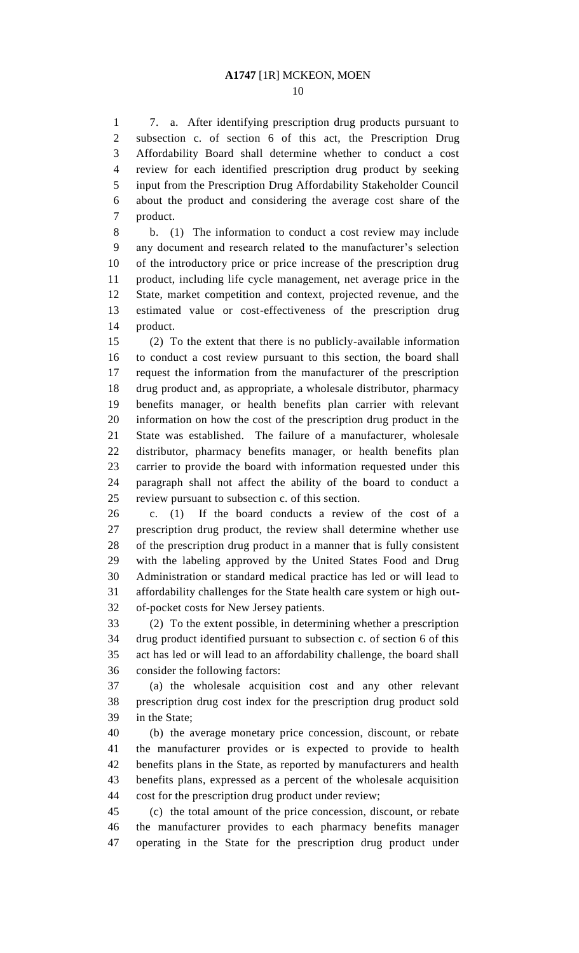7. a. After identifying prescription drug products pursuant to subsection c. of section 6 of this act, the Prescription Drug Affordability Board shall determine whether to conduct a cost review for each identified prescription drug product by seeking input from the Prescription Drug Affordability Stakeholder Council about the product and considering the average cost share of the product.

 b. (1) The information to conduct a cost review may include any document and research related to the manufacturer's selection of the introductory price or price increase of the prescription drug product, including life cycle management, net average price in the State, market competition and context, projected revenue, and the estimated value or cost-effectiveness of the prescription drug product.

 (2) To the extent that there is no publicly-available information to conduct a cost review pursuant to this section, the board shall request the information from the manufacturer of the prescription drug product and, as appropriate, a wholesale distributor, pharmacy benefits manager, or health benefits plan carrier with relevant information on how the cost of the prescription drug product in the State was established. The failure of a manufacturer, wholesale distributor, pharmacy benefits manager, or health benefits plan carrier to provide the board with information requested under this paragraph shall not affect the ability of the board to conduct a review pursuant to subsection c. of this section.

 c. (1) If the board conducts a review of the cost of a prescription drug product, the review shall determine whether use of the prescription drug product in a manner that is fully consistent with the labeling approved by the United States Food and Drug Administration or standard medical practice has led or will lead to affordability challenges for the State health care system or high out-of-pocket costs for New Jersey patients.

 (2) To the extent possible, in determining whether a prescription drug product identified pursuant to subsection c. of section 6 of this act has led or will lead to an affordability challenge, the board shall consider the following factors:

 (a) the wholesale acquisition cost and any other relevant prescription drug cost index for the prescription drug product sold in the State;

 (b) the average monetary price concession, discount, or rebate the manufacturer provides or is expected to provide to health benefits plans in the State, as reported by manufacturers and health benefits plans, expressed as a percent of the wholesale acquisition cost for the prescription drug product under review;

 (c) the total amount of the price concession, discount, or rebate the manufacturer provides to each pharmacy benefits manager operating in the State for the prescription drug product under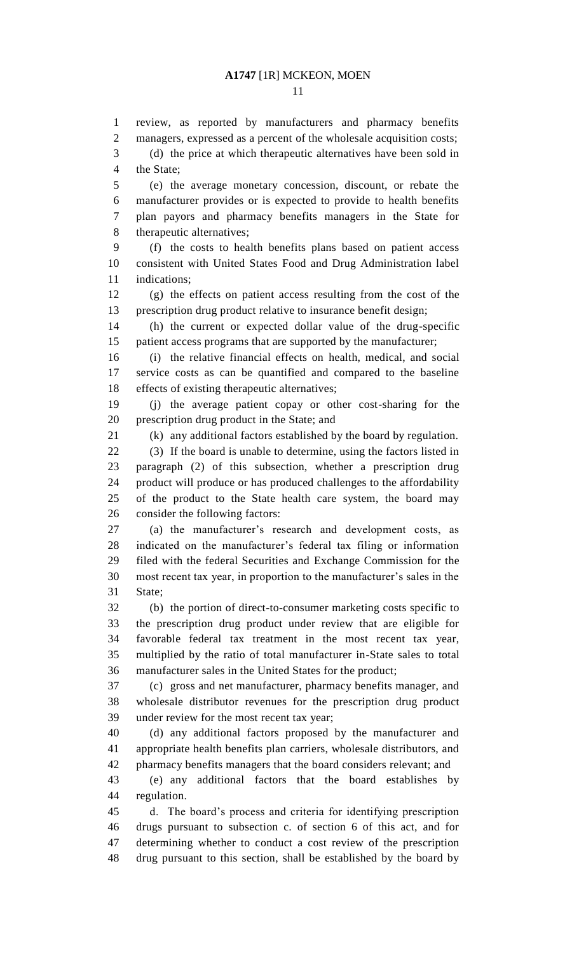managers, expressed as a percent of the wholesale acquisition costs; (d) the price at which therapeutic alternatives have been sold in the State; (e) the average monetary concession, discount, or rebate the manufacturer provides or is expected to provide to health benefits plan payors and pharmacy benefits managers in the State for

review, as reported by manufacturers and pharmacy benefits

therapeutic alternatives;

 (f) the costs to health benefits plans based on patient access consistent with United States Food and Drug Administration label indications;

 (g) the effects on patient access resulting from the cost of the prescription drug product relative to insurance benefit design;

 (h) the current or expected dollar value of the drug-specific patient access programs that are supported by the manufacturer;

 (i) the relative financial effects on health, medical, and social service costs as can be quantified and compared to the baseline effects of existing therapeutic alternatives;

 (j) the average patient copay or other cost-sharing for the prescription drug product in the State; and

(k) any additional factors established by the board by regulation.

 (3) If the board is unable to determine, using the factors listed in paragraph (2) of this subsection, whether a prescription drug product will produce or has produced challenges to the affordability of the product to the State health care system, the board may consider the following factors:

 (a) the manufacturer's research and development costs, as indicated on the manufacturer's federal tax filing or information filed with the federal Securities and Exchange Commission for the most recent tax year, in proportion to the manufacturer's sales in the State;

 (b) the portion of direct-to-consumer marketing costs specific to the prescription drug product under review that are eligible for favorable federal tax treatment in the most recent tax year, multiplied by the ratio of total manufacturer in-State sales to total manufacturer sales in the United States for the product;

 (c) gross and net manufacturer, pharmacy benefits manager, and wholesale distributor revenues for the prescription drug product under review for the most recent tax year;

 (d) any additional factors proposed by the manufacturer and appropriate health benefits plan carriers, wholesale distributors, and pharmacy benefits managers that the board considers relevant; and

 (e) any additional factors that the board establishes by regulation.

 d. The board's process and criteria for identifying prescription drugs pursuant to subsection c. of section 6 of this act, and for determining whether to conduct a cost review of the prescription drug pursuant to this section, shall be established by the board by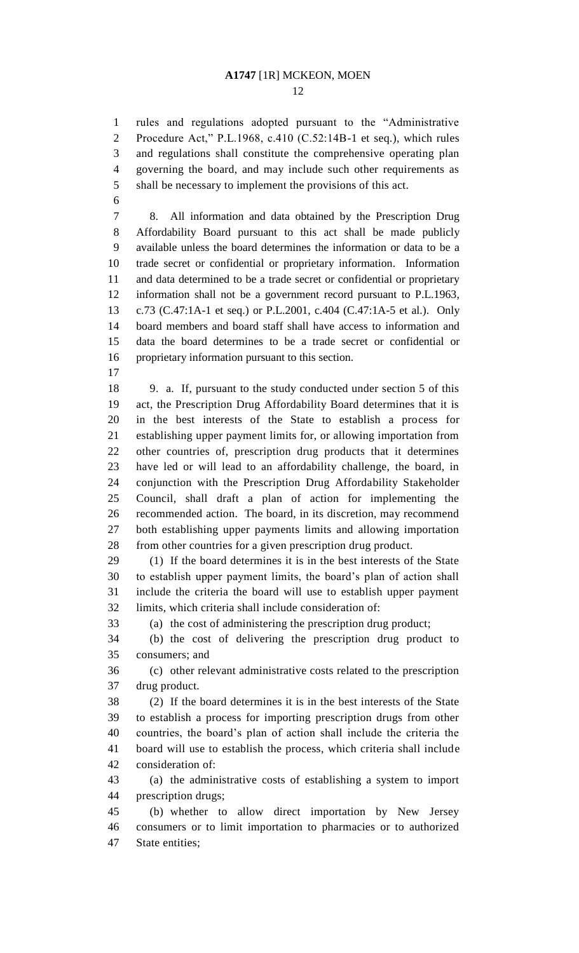rules and regulations adopted pursuant to the "Administrative Procedure Act," P.L.1968, c.410 (C.52:14B-1 et seq.), which rules and regulations shall constitute the comprehensive operating plan governing the board, and may include such other requirements as shall be necessary to implement the provisions of this act.

 8. All information and data obtained by the Prescription Drug Affordability Board pursuant to this act shall be made publicly available unless the board determines the information or data to be a trade secret or confidential or proprietary information. Information and data determined to be a trade secret or confidential or proprietary information shall not be a government record pursuant to P.L.1963, c.73 (C.47:1A-1 et seq.) or P.L.2001, c.404 (C.47:1A-5 et al.). Only board members and board staff shall have access to information and data the board determines to be a trade secret or confidential or proprietary information pursuant to this section.

 9. a. If, pursuant to the study conducted under section 5 of this act, the Prescription Drug Affordability Board determines that it is in the best interests of the State to establish a process for establishing upper payment limits for, or allowing importation from other countries of, prescription drug products that it determines have led or will lead to an affordability challenge, the board, in conjunction with the Prescription Drug Affordability Stakeholder Council, shall draft a plan of action for implementing the recommended action. The board, in its discretion, may recommend both establishing upper payments limits and allowing importation from other countries for a given prescription drug product.

 (1) If the board determines it is in the best interests of the State to establish upper payment limits, the board's plan of action shall include the criteria the board will use to establish upper payment limits, which criteria shall include consideration of:

(a) the cost of administering the prescription drug product;

 (b) the cost of delivering the prescription drug product to consumers; and

 (c) other relevant administrative costs related to the prescription drug product.

 (2) If the board determines it is in the best interests of the State to establish a process for importing prescription drugs from other countries, the board's plan of action shall include the criteria the board will use to establish the process, which criteria shall include consideration of:

 (a) the administrative costs of establishing a system to import prescription drugs;

 (b) whether to allow direct importation by New Jersey consumers or to limit importation to pharmacies or to authorized State entities;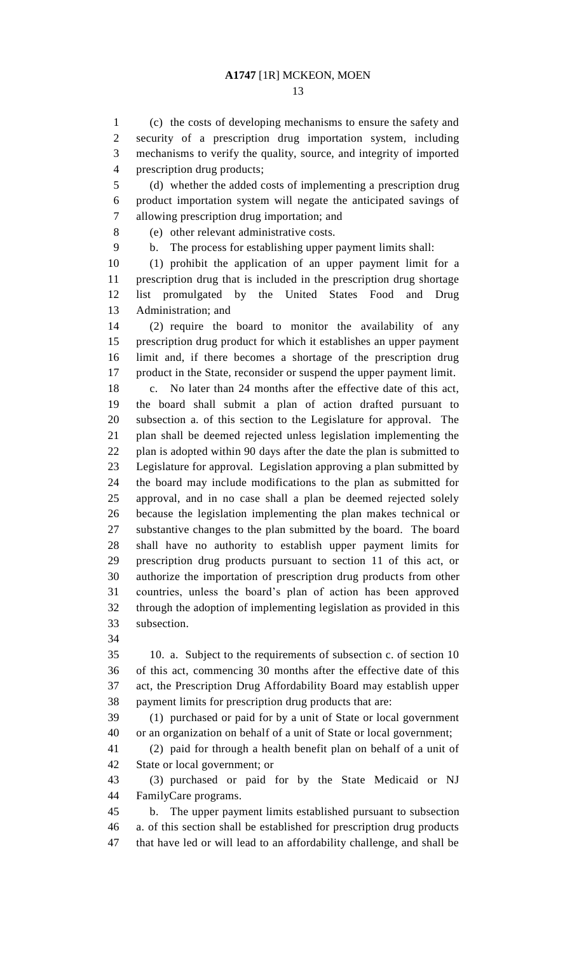(c) the costs of developing mechanisms to ensure the safety and security of a prescription drug importation system, including mechanisms to verify the quality, source, and integrity of imported prescription drug products;

 (d) whether the added costs of implementing a prescription drug product importation system will negate the anticipated savings of allowing prescription drug importation; and

(e) other relevant administrative costs.

b. The process for establishing upper payment limits shall:

 (1) prohibit the application of an upper payment limit for a prescription drug that is included in the prescription drug shortage list promulgated by the United States Food and Drug Administration; and

 (2) require the board to monitor the availability of any prescription drug product for which it establishes an upper payment limit and, if there becomes a shortage of the prescription drug product in the State, reconsider or suspend the upper payment limit.

 c. No later than 24 months after the effective date of this act, the board shall submit a plan of action drafted pursuant to subsection a. of this section to the Legislature for approval. The plan shall be deemed rejected unless legislation implementing the plan is adopted within 90 days after the date the plan is submitted to Legislature for approval. Legislation approving a plan submitted by the board may include modifications to the plan as submitted for approval, and in no case shall a plan be deemed rejected solely because the legislation implementing the plan makes technical or substantive changes to the plan submitted by the board. The board shall have no authority to establish upper payment limits for prescription drug products pursuant to section 11 of this act, or authorize the importation of prescription drug products from other countries, unless the board's plan of action has been approved through the adoption of implementing legislation as provided in this subsection.

 10. a. Subject to the requirements of subsection c. of section 10 of this act, commencing 30 months after the effective date of this act, the Prescription Drug Affordability Board may establish upper payment limits for prescription drug products that are:

 (1) purchased or paid for by a unit of State or local government or an organization on behalf of a unit of State or local government;

 (2) paid for through a health benefit plan on behalf of a unit of State or local government; or

 (3) purchased or paid for by the State Medicaid or NJ FamilyCare programs.

 b. The upper payment limits established pursuant to subsection a. of this section shall be established for prescription drug products that have led or will lead to an affordability challenge, and shall be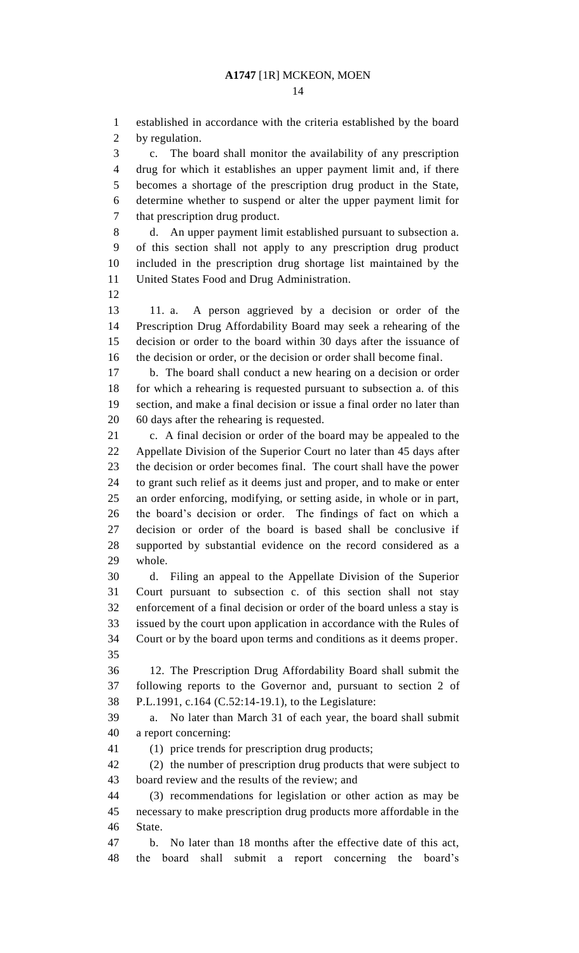established in accordance with the criteria established by the board by regulation.

 c. The board shall monitor the availability of any prescription drug for which it establishes an upper payment limit and, if there becomes a shortage of the prescription drug product in the State, determine whether to suspend or alter the upper payment limit for that prescription drug product.

 d. An upper payment limit established pursuant to subsection a. of this section shall not apply to any prescription drug product included in the prescription drug shortage list maintained by the United States Food and Drug Administration.

 11. a. A person aggrieved by a decision or order of the Prescription Drug Affordability Board may seek a rehearing of the decision or order to the board within 30 days after the issuance of the decision or order, or the decision or order shall become final.

 b. The board shall conduct a new hearing on a decision or order for which a rehearing is requested pursuant to subsection a. of this section, and make a final decision or issue a final order no later than 60 days after the rehearing is requested.

 c. A final decision or order of the board may be appealed to the Appellate Division of the Superior Court no later than 45 days after the decision or order becomes final. The court shall have the power to grant such relief as it deems just and proper, and to make or enter an order enforcing, modifying, or setting aside, in whole or in part, the board's decision or order. The findings of fact on which a decision or order of the board is based shall be conclusive if supported by substantial evidence on the record considered as a whole.

 d. Filing an appeal to the Appellate Division of the Superior Court pursuant to subsection c. of this section shall not stay enforcement of a final decision or order of the board unless a stay is issued by the court upon application in accordance with the Rules of Court or by the board upon terms and conditions as it deems proper. 

 12. The Prescription Drug Affordability Board shall submit the following reports to the Governor and, pursuant to section 2 of P.L.1991, c.164 (C.52:14-19.1), to the Legislature:

 a. No later than March 31 of each year, the board shall submit a report concerning:

(1) price trends for prescription drug products;

 (2) the number of prescription drug products that were subject to board review and the results of the review; and

 (3) recommendations for legislation or other action as may be necessary to make prescription drug products more affordable in the State.

 b. No later than 18 months after the effective date of this act, the board shall submit a report concerning the board's